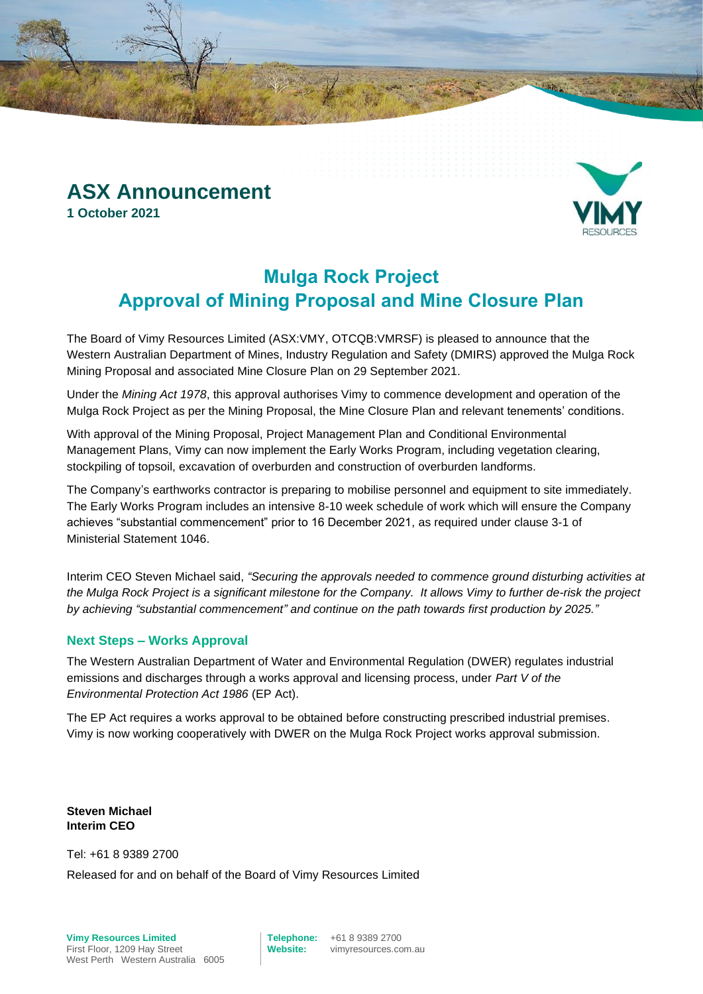## **ASX Announcement 1 October 2021**

## **Mulga Rock Project Approval of Mining Proposal and Mine Closure Plan**

The Board of Vimy Resources Limited (ASX:VMY, OTCQB:VMRSF) is pleased to announce that the Western Australian Department of Mines, Industry Regulation and Safety (DMIRS) approved the Mulga Rock Mining Proposal and associated Mine Closure Plan on 29 September 2021.

Under the *Mining Act 1978*, this approval authorises Vimy to commence development and operation of the Mulga Rock Project as per the Mining Proposal, the Mine Closure Plan and relevant tenements' conditions.

With approval of the Mining Proposal, Project Management Plan and Conditional Environmental Management Plans, Vimy can now implement the Early Works Program, including vegetation clearing, stockpiling of topsoil, excavation of overburden and construction of overburden landforms.

The Company's earthworks contractor is preparing to mobilise personnel and equipment to site immediately. The Early Works Program includes an intensive 8-10 week schedule of work which will ensure the Company achieves "substantial commencement" prior to 16 December 2021, as required under clause 3-1 of Ministerial Statement 1046.

Interim CEO Steven Michael said, *"Securing the approvals needed to commence ground disturbing activities at the Mulga Rock Project is a significant milestone for the Company. It allows Vimy to further de-risk the project by achieving "substantial commencement" and continue on the path towards first production by 2025."*

### **Next Steps – Works Approval**

The Western Australian Department of Water and Environmental Regulation (DWER) regulates industrial emissions and discharges through a works approval and licensing process, under *Part V of the Environmental Protection Act 1986* (EP Act).

The EP Act requires a works approval to be obtained before constructing prescribed industrial premises. Vimy is now working cooperatively with DWER on the Mulga Rock Project works approval submission.

**Steven Michael Interim CEO**

Tel: +61 8 9389 2700

Released for and on behalf of the Board of Vimy Resources Limited